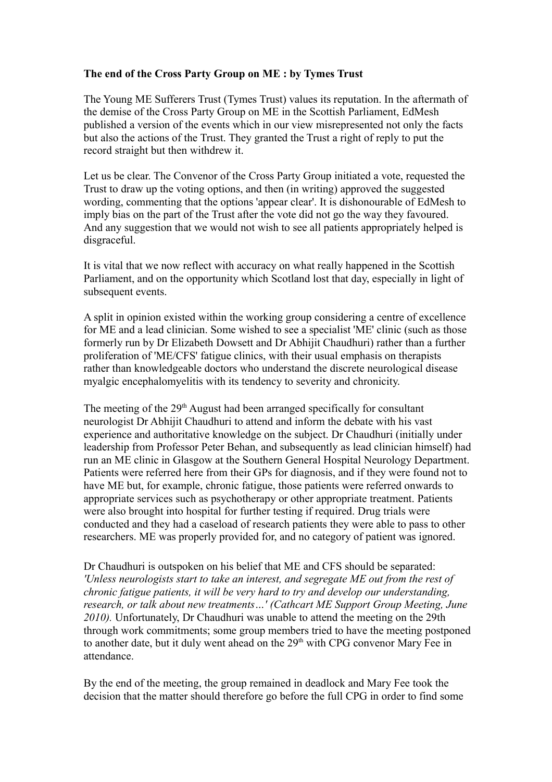## **The end of the Cross Party Group on ME : by Tymes Trust**

The Young ME Sufferers Trust (Tymes Trust) values its reputation. In the aftermath of the demise of the Cross Party Group on ME in the Scottish Parliament, EdMesh published a version of the events which in our view misrepresented not only the facts but also the actions of the Trust. They granted the Trust a right of reply to put the record straight but then withdrew it.

Let us be clear. The Convenor of the Cross Party Group initiated a vote, requested the Trust to draw up the voting options, and then (in writing) approved the suggested wording, commenting that the options 'appear clear'. It is dishonourable of EdMesh to imply bias on the part of the Trust after the vote did not go the way they favoured. And any suggestion that we would not wish to see all patients appropriately helped is disgraceful.

It is vital that we now reflect with accuracy on what really happened in the Scottish Parliament, and on the opportunity which Scotland lost that day, especially in light of subsequent events.

A split in opinion existed within the working group considering a centre of excellence for ME and a lead clinician. Some wished to see a specialist 'ME' clinic (such as those formerly run by Dr Elizabeth Dowsett and Dr Abhijit Chaudhuri) rather than a further proliferation of 'ME/CFS' fatigue clinics, with their usual emphasis on therapists rather than knowledgeable doctors who understand the discrete neurological disease myalgic encephalomyelitis with its tendency to severity and chronicity.

The meeting of the  $29<sup>th</sup>$  August had been arranged specifically for consultant neurologist Dr Abhijit Chaudhuri to attend and inform the debate with his vast experience and authoritative knowledge on the subject. Dr Chaudhuri (initially under leadership from Professor Peter Behan, and subsequently as lead clinician himself) had run an ME clinic in Glasgow at the Southern General Hospital Neurology Department. Patients were referred here from their GPs for diagnosis, and if they were found not to have ME but, for example, chronic fatigue, those patients were referred onwards to appropriate services such as psychotherapy or other appropriate treatment. Patients were also brought into hospital for further testing if required. Drug trials were conducted and they had a caseload of research patients they were able to pass to other researchers. ME was properly provided for, and no category of patient was ignored.

Dr Chaudhuri is outspoken on his belief that ME and CFS should be separated: *'Unless neurologists start to take an interest, and segregate ME out from the rest of chronic fatigue patients, it will be very hard to try and develop our understanding, research, or talk about new treatments…' (Cathcart ME Support Group Meeting, June 2010).* Unfortunately, Dr Chaudhuri was unable to attend the meeting on the 29th through work commitments; some group members tried to have the meeting postponed to another date, but it duly went ahead on the  $29<sup>th</sup>$  with CPG convenor Mary Fee in attendance.

By the end of the meeting, the group remained in deadlock and Mary Fee took the decision that the matter should therefore go before the full CPG in order to find some